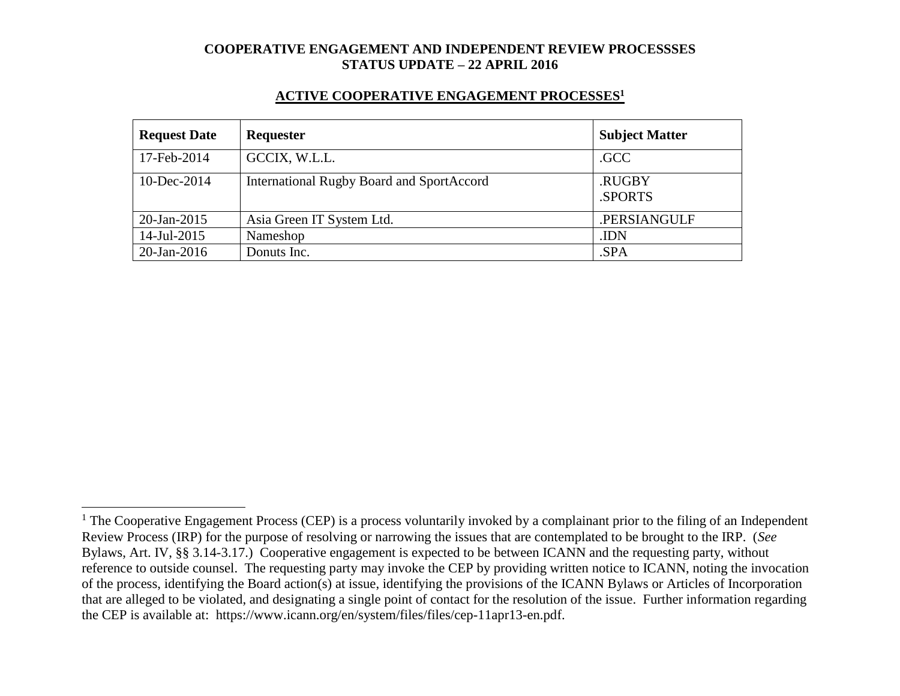#### **ACTIVE COOPERATIVE ENGAGEMENT PROCESSES<sup>1</sup>**

| <b>Request Date</b> | Requester                                        | <b>Subject Matter</b> |
|---------------------|--------------------------------------------------|-----------------------|
| 17-Feb-2014         | GCCIX, W.L.L.                                    | .GCC                  |
| 10-Dec-2014         | <b>International Rugby Board and SportAccord</b> | .RUGBY<br>.SPORTS     |
| $20$ -Jan-2015      | Asia Green IT System Ltd.                        | .PERSIANGULF          |
| 14-Jul-2015         | Nameshop                                         | .IDN                  |
| $20$ -Jan-2016      | Donuts Inc.                                      | .SPA                  |

 $\overline{a}$ 

<sup>&</sup>lt;sup>1</sup> The Cooperative Engagement Process (CEP) is a process voluntarily invoked by a complainant prior to the filing of an Independent Review Process (IRP) for the purpose of resolving or narrowing the issues that are contemplated to be brought to the IRP. (*See* Bylaws, Art. IV, §§ 3.14-3.17.) Cooperative engagement is expected to be between ICANN and the requesting party, without reference to outside counsel. The requesting party may invoke the CEP by providing written notice to ICANN, noting the invocation of the process, identifying the Board action(s) at issue, identifying the provisions of the ICANN Bylaws or Articles of Incorporation that are alleged to be violated, and designating a single point of contact for the resolution of the issue. Further information regarding the CEP is available at: https://www.icann.org/en/system/files/files/cep-11apr13-en.pdf.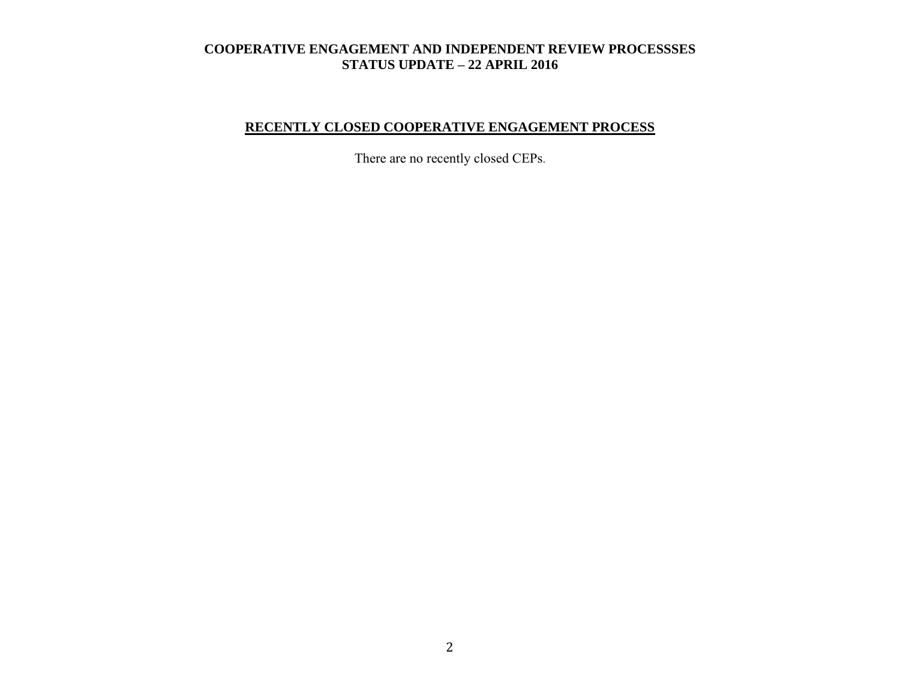# **RECENTLY CLOSED COOPERATIVE ENGAGEMENT PROCESS**

There are no recently closed CEPs.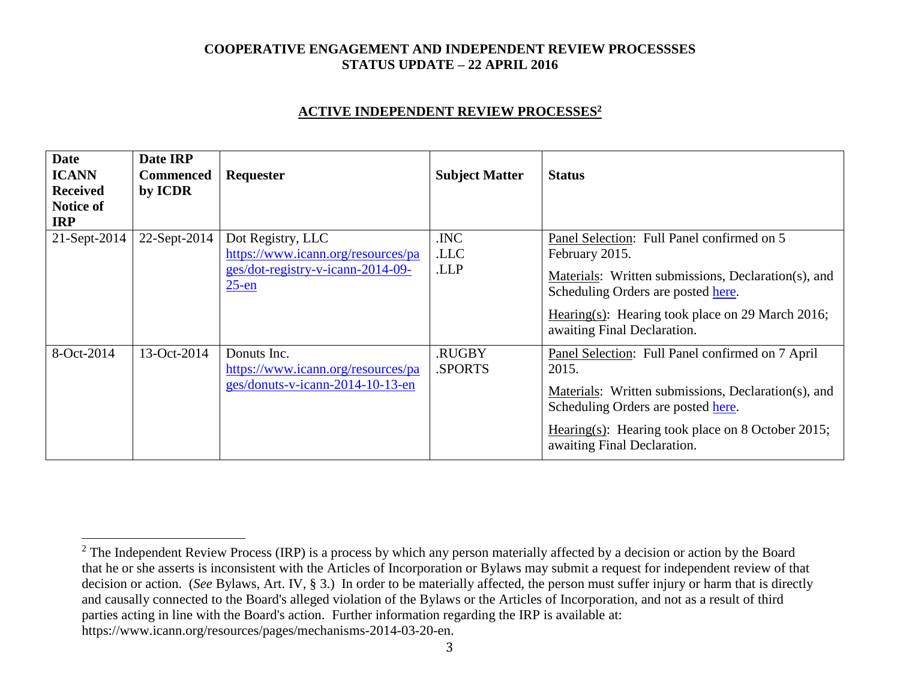#### **ACTIVE INDEPENDENT REVIEW PROCESSES<sup>2</sup>**

| <b>Date</b><br><b>ICANN</b><br><b>Received</b><br><b>Notice of</b><br><b>IRP</b> | Date IRP<br><b>Commenced</b><br>by ICDR | Requester                                                                                                | <b>Subject Matter</b>   | <b>Status</b>                                                                                                                                                                                                                                |
|----------------------------------------------------------------------------------|-----------------------------------------|----------------------------------------------------------------------------------------------------------|-------------------------|----------------------------------------------------------------------------------------------------------------------------------------------------------------------------------------------------------------------------------------------|
| 21-Sept-2014                                                                     | 22-Sept-2014                            | Dot Registry, LLC<br>https://www.icann.org/resources/pa<br>ges/dot-registry-v-icann-2014-09-<br>$25$ -en | .INC<br>.LLC<br>.LLP    | Panel Selection: Full Panel confirmed on 5<br>February 2015.<br>Materials: Written submissions, Declaration(s), and<br>Scheduling Orders are posted here.<br>Hearing(s): Hearing took place on 29 March 2016;<br>awaiting Final Declaration. |
| 8-Oct-2014                                                                       | 13-Oct-2014                             | Donuts Inc.<br>https://www.icann.org/resources/pa<br>ges/donuts-v-icann-2014-10-13-en                    | <b>RUGBY</b><br>.SPORTS | Panel Selection: Full Panel confirmed on 7 April<br>2015.<br>Materials: Written submissions, Declaration(s), and<br>Scheduling Orders are posted here.<br>Hearing(s): Hearing took place on 8 October 2015;<br>awaiting Final Declaration.   |

 $\overline{a}$ 

<sup>&</sup>lt;sup>2</sup> The Independent Review Process (IRP) is a process by which any person materially affected by a decision or action by the Board that he or she asserts is inconsistent with the Articles of Incorporation or Bylaws may submit a request for independent review of that decision or action. (*See* Bylaws, Art. IV, § 3.) In order to be materially affected, the person must suffer injury or harm that is directly and causally connected to the Board's alleged violation of the Bylaws or the Articles of Incorporation, and not as a result of third parties acting in line with the Board's action. Further information regarding the IRP is available at: https://www.icann.org/resources/pages/mechanisms-2014-03-20-en.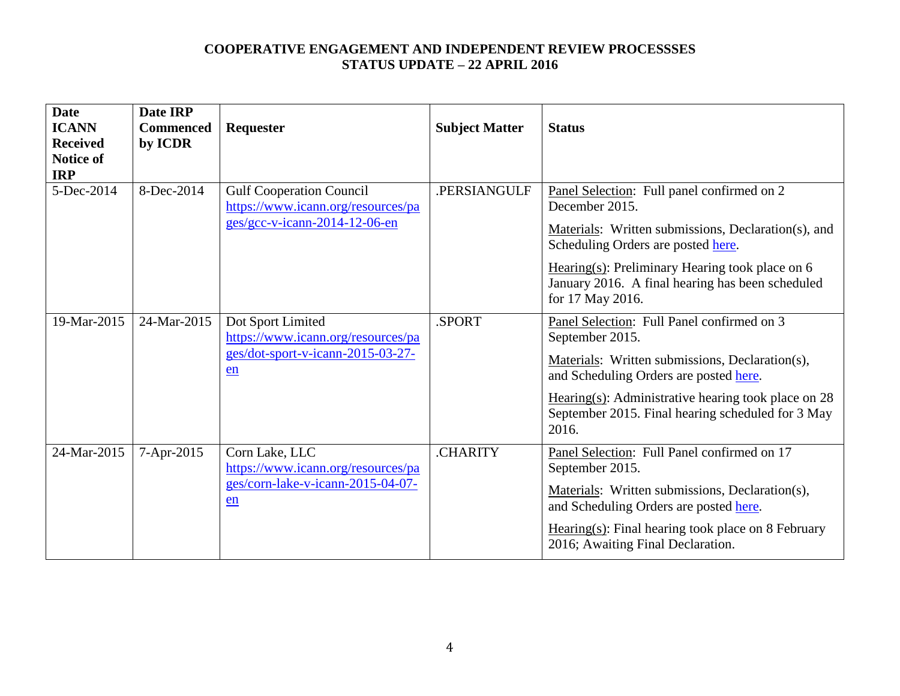| <b>Date</b><br><b>ICANN</b><br><b>Received</b><br><b>Notice of</b><br><b>IRP</b> | Date IRP<br><b>Commenced</b><br>by ICDR | Requester                                                                                              | <b>Subject Matter</b> | <b>Status</b>                                                                                                                                                                                                                                                                          |
|----------------------------------------------------------------------------------|-----------------------------------------|--------------------------------------------------------------------------------------------------------|-----------------------|----------------------------------------------------------------------------------------------------------------------------------------------------------------------------------------------------------------------------------------------------------------------------------------|
| 5-Dec-2014                                                                       | 8-Dec-2014                              | <b>Gulf Cooperation Council</b><br>https://www.icann.org/resources/pa<br>ges/gcc-v-icann-2014-12-06-en | .PERSIANGULF          | Panel Selection: Full panel confirmed on 2<br>December 2015.<br>Materials: Written submissions, Declaration(s), and<br>Scheduling Orders are posted here.<br>Hearing(s): Preliminary Hearing took place on $6$<br>January 2016. A final hearing has been scheduled<br>for 17 May 2016. |
| 19-Mar-2015                                                                      | 24-Mar-2015                             | Dot Sport Limited<br>https://www.icann.org/resources/pa<br>ges/dot-sport-v-icann-2015-03-27-<br>en     | .SPORT                | Panel Selection: Full Panel confirmed on 3<br>September 2015.<br>Materials: Written submissions, Declaration(s),<br>and Scheduling Orders are posted here.<br>Hearing(s): Administrative hearing took place on $28$<br>September 2015. Final hearing scheduled for 3 May<br>2016.      |
| 24-Mar-2015                                                                      | 7-Apr-2015                              | Corn Lake, LLC<br>https://www.icann.org/resources/pa<br>ges/corn-lake-v-icann-2015-04-07-<br>en        | <b>CHARITY</b>        | Panel Selection: Full Panel confirmed on 17<br>September 2015.<br>Materials: Written submissions, Declaration(s),<br>and Scheduling Orders are posted here.<br>$Hearing(s): Final hearing took place on 8 February$<br>2016; Awaiting Final Declaration.                               |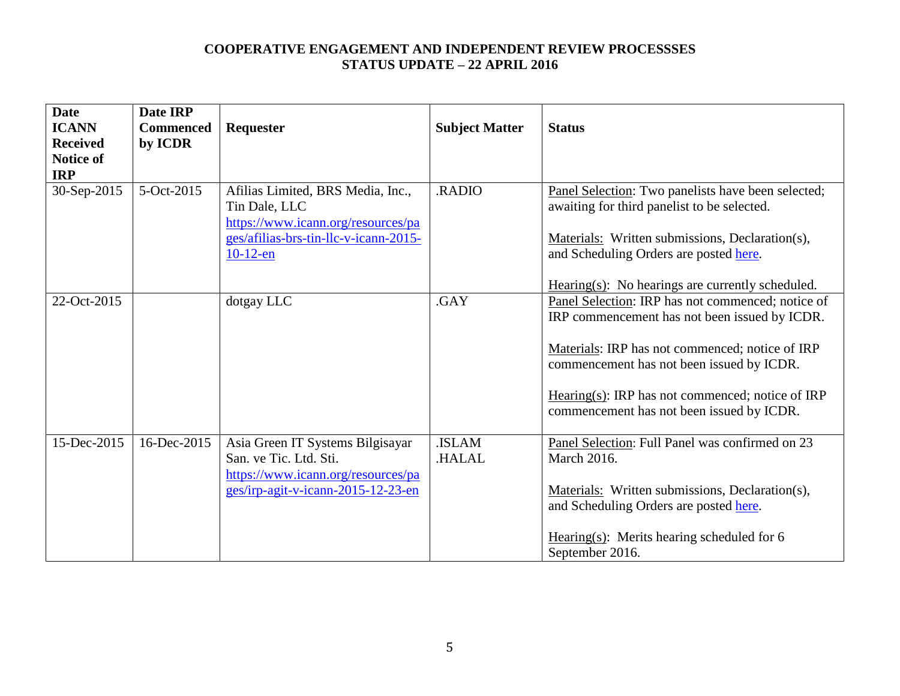| <b>Date</b><br><b>ICANN</b><br><b>Received</b><br>Notice of<br><b>IRP</b> | Date IRP<br><b>Commenced</b><br>by ICDR | Requester                                                                                                                                        | <b>Subject Matter</b> | <b>Status</b>                                                                                                                                                                                                                                                                                       |
|---------------------------------------------------------------------------|-----------------------------------------|--------------------------------------------------------------------------------------------------------------------------------------------------|-----------------------|-----------------------------------------------------------------------------------------------------------------------------------------------------------------------------------------------------------------------------------------------------------------------------------------------------|
| 30-Sep-2015                                                               | 5-Oct-2015                              | Afilias Limited, BRS Media, Inc.,<br>Tin Dale, LLC<br>https://www.icann.org/resources/pa<br>ges/afilias-brs-tin-llc-v-icann-2015-<br>$10-12$ -en | .RADIO                | Panel Selection: Two panelists have been selected;<br>awaiting for third panelist to be selected.<br>Materials: Written submissions, Declaration(s),<br>and Scheduling Orders are posted here.<br>$Hearing(s)$ : No hearings are currently scheduled.                                               |
| 22-Oct-2015                                                               |                                         | dotgay LLC                                                                                                                                       | .GAY                  | Panel Selection: IRP has not commenced; notice of<br>IRP commencement has not been issued by ICDR.<br>Materials: IRP has not commenced; notice of IRP<br>commencement has not been issued by ICDR.<br>Hearing(s): IRP has not commenced; notice of IRP<br>commencement has not been issued by ICDR. |
| 15-Dec-2015                                                               | 16-Dec-2015                             | Asia Green IT Systems Bilgisayar<br>San. ve Tic. Ltd. Sti.<br>https://www.icann.org/resources/pa<br>ges/irp-agit-v-icann-2015-12-23-en           | .ISLAM<br>HALAL.      | Panel Selection: Full Panel was confirmed on 23<br><b>March 2016.</b><br>Materials: Written submissions, Declaration(s),<br>and Scheduling Orders are posted here.<br>Hearing $(s)$ : Merits hearing scheduled for 6<br>September 2016.                                                             |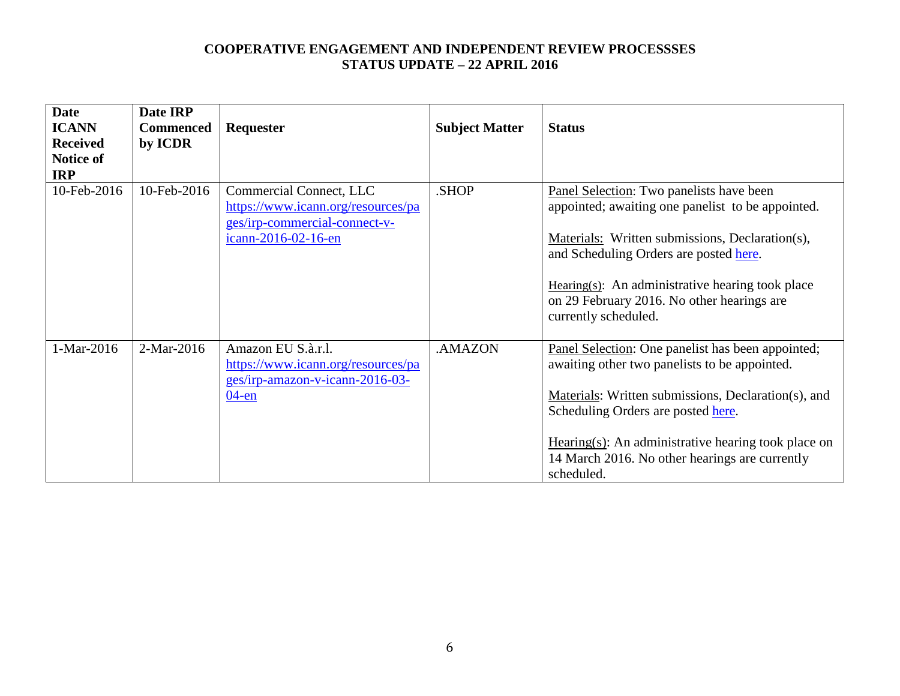| <b>Date</b>     | Date IRP         |                                    |                       |                                                        |
|-----------------|------------------|------------------------------------|-----------------------|--------------------------------------------------------|
| <b>ICANN</b>    | <b>Commenced</b> | <b>Requester</b>                   | <b>Subject Matter</b> | <b>Status</b>                                          |
| <b>Received</b> | by ICDR          |                                    |                       |                                                        |
| Notice of       |                  |                                    |                       |                                                        |
| <b>IRP</b>      |                  |                                    |                       |                                                        |
| 10-Feb-2016     | 10-Feb-2016      | Commercial Connect, LLC            | .SHOP                 | Panel Selection: Two panelists have been               |
|                 |                  | https://www.icann.org/resources/pa |                       | appointed; awaiting one panelist to be appointed.      |
|                 |                  | ges/irp-commercial-connect-v-      |                       |                                                        |
|                 |                  | icann-2016-02-16-en                |                       | Materials: Written submissions, Declaration(s),        |
|                 |                  |                                    |                       | and Scheduling Orders are posted here.                 |
|                 |                  |                                    |                       |                                                        |
|                 |                  |                                    |                       | Hearing(s): An administrative hearing took place       |
|                 |                  |                                    |                       | on 29 February 2016. No other hearings are             |
|                 |                  |                                    |                       | currently scheduled.                                   |
|                 |                  |                                    |                       |                                                        |
| 1-Mar-2016      | 2-Mar-2016       | Amazon EU S.à.r.l.                 | .AMAZON               | Panel Selection: One panelist has been appointed;      |
|                 |                  | https://www.icann.org/resources/pa |                       | awaiting other two panelists to be appointed.          |
|                 |                  | ges/irp-amazon-v-icann-2016-03-    |                       |                                                        |
|                 |                  | $04$ -en                           |                       | Materials: Written submissions, Declaration(s), and    |
|                 |                  |                                    |                       | Scheduling Orders are posted here.                     |
|                 |                  |                                    |                       |                                                        |
|                 |                  |                                    |                       | $Hearing(s)$ : An administrative hearing took place on |
|                 |                  |                                    |                       | 14 March 2016. No other hearings are currently         |
|                 |                  |                                    |                       | scheduled.                                             |